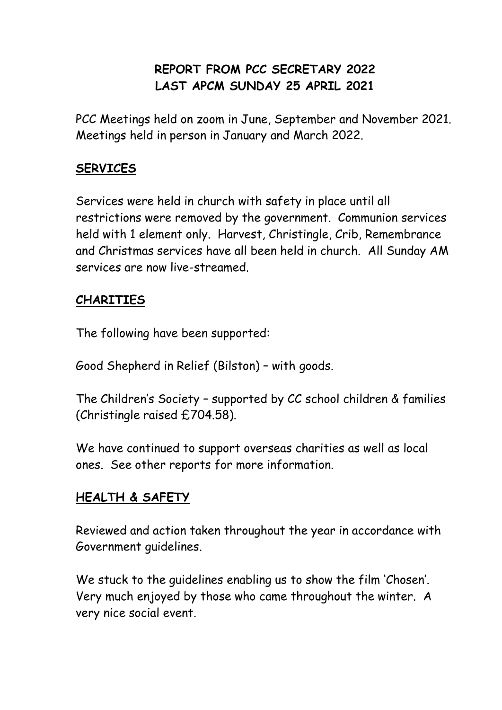# **REPORT FROM PCC SECRETARY 2022 LAST APCM SUNDAY 25 APRIL 2021**

PCC Meetings held on zoom in June, September and November 2021. Meetings held in person in January and March 2022.

## **SERVICES**

Services were held in church with safety in place until all restrictions were removed by the government. Communion services held with 1 element only. Harvest, Christingle, Crib, Remembrance and Christmas services have all been held in church. All Sunday AM services are now live-streamed.

### **CHARITIES**

The following have been supported:

Good Shepherd in Relief (Bilston) – with goods.

The Children's Society – supported by CC school children & families (Christingle raised £704.58).

We have continued to support overseas charities as well as local ones. See other reports for more information.

### **HEALTH & SAFETY**

Reviewed and action taken throughout the year in accordance with Government guidelines.

We stuck to the guidelines enabling us to show the film 'Chosen'. Very much enjoyed by those who came throughout the winter. A very nice social event.